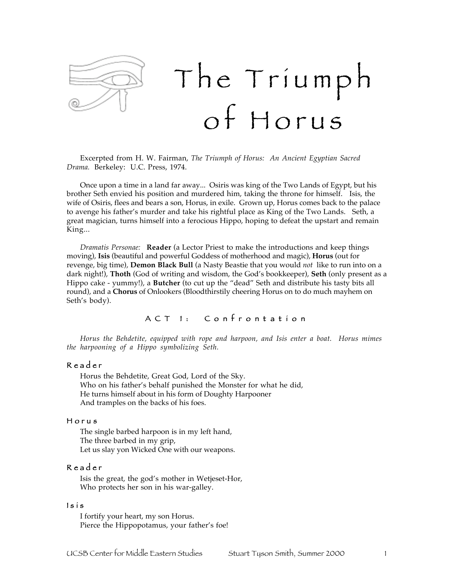

Excerpted from H. W. Fairman, *The Triumph of Horus: An Ancient Egyptian Sacred Drama.* Berkeley: U.C. Press, 1974.

Once upon a time in a land far away... Osiris was king of the Two Lands of Egypt, but his brother Seth envied his position and murdered him, taking the throne for himself. Isis, the wife of Osiris, flees and bears a son, Horus, in exile. Grown up, Horus comes back to the palace to avenge his father's murder and take his rightful place as King of the Two Lands. Seth, a great magician, turns himself into a ferocious Hippo, hoping to defeat the upstart and remain King...

*Dramatis Personae:* **Reader** (a Lector Priest to make the introductions and keep things moving), **Isis** (beautiful and powerful Goddess of motherhood and magic), **Horus** (out for revenge, big time), **Demon Black Bull** (a Nasty Beastie that you would *not* like to run into on a dark night!), **Thoth** (God of writing and wisdom, the God's bookkeeper), **Seth** (only present as a Hippo cake - yummy!), a **Butcher** (to cut up the "dead" Seth and distribute his tasty bits all round), and a **Chorus** of Onlookers (Bloodthirstily cheering Horus on to do much mayhem on Seth's body).

### A C T I: C on frontation

*Horus the Behdetite, equipped with rope and harpoon, and Isis enter a boat. Horus mimes the harpooning of a Hippo symbolizing Seth.*

#### R e a d e r

Horus the Behdetite, Great God, Lord of the Sky. Who on his father's behalf punished the Monster for what he did, He turns himself about in his form of Doughty Harpooner And tramples on the backs of his foes.

#### H o r u s

The single barbed harpoon is in my left hand, The three barbed in my grip, Let us slay yon Wicked One with our weapons.

#### R e a d e r

Isis the great, the god's mother in Wetjeset-Hor, Who protects her son in his war-galley.

#### $Is$ is

I fortify your heart, my son Horus. Pierce the Hippopotamus, your father's foe!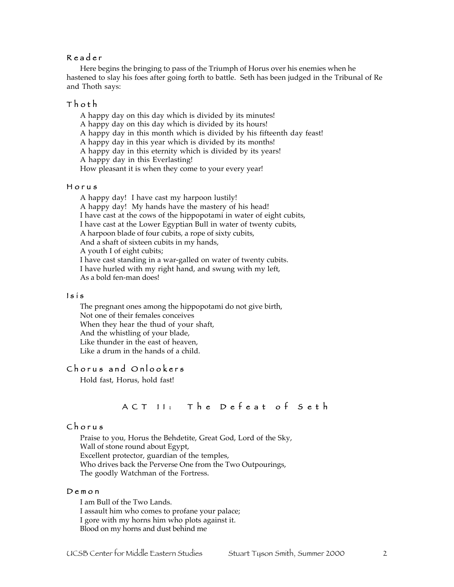### R e a d e r

Here begins the bringing to pass of the Triumph of Horus over his enemies when he hastened to slay his foes after going forth to battle. Seth has been judged in the Tribunal of Re and Thoth says:

#### T h o t h

A happy day on this day which is divided by its minutes!

A happy day on this day which is divided by its hours!

A happy day in this month which is divided by his fifteenth day feast!

A happy day in this year which is divided by its months!

A happy day in this eternity which is divided by its years!

A happy day in this Everlasting!

How pleasant it is when they come to your every year!

#### H o r u s

A happy day! I have cast my harpoon lustily! A happy day! My hands have the mastery of his head! I have cast at the cows of the hippopotami in water of eight cubits, I have cast at the Lower Egyptian Bull in water of twenty cubits, A harpoon blade of four cubits, a rope of sixty cubits, And a shaft of sixteen cubits in my hands, A youth I of eight cubits; I have cast standing in a war-galled on water of twenty cubits. I have hurled with my right hand, and swung with my left, As a bold fen-man does!

#### $Is$ is

The pregnant ones among the hippopotami do not give birth, Not one of their females conceives When they hear the thud of your shaft, And the whistling of your blade, Like thunder in the east of heaven, Like a drum in the hands of a child.

### Chorus and Onlookers

Hold fast, Horus, hold fast!

# A C T I ! : The Defeat of Seth

#### C h o r u s

Praise to you, Horus the Behdetite, Great God, Lord of the Sky, Wall of stone round about Egypt, Excellent protector, guardian of the temples, Who drives back the Perverse One from the Two Outpourings, The goodly Watchman of the Fortress.

#### D e m o n

I am Bull of the Two Lands. I assault him who comes to profane your palace; I gore with my horns him who plots against it. Blood on my horns and dust behind me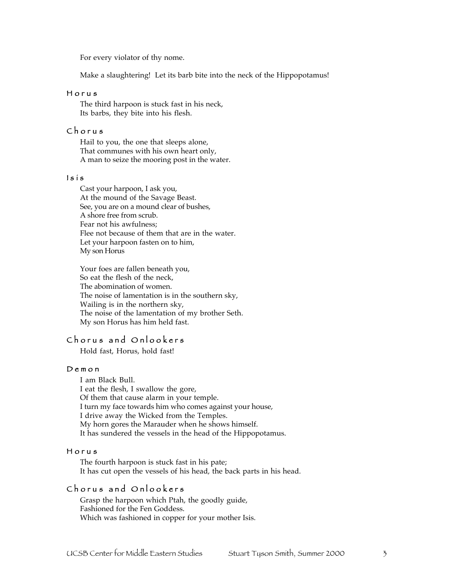For every violator of thy nome.

Make a slaughtering! Let its barb bite into the neck of the Hippopotamus!

#### H o r u s

The third harpoon is stuck fast in his neck, Its barbs, they bite into his flesh.

## C h o r u s

Hail to you, the one that sleeps alone, That communes with his own heart only, A man to seize the mooring post in the water.

#### $Is$ is

Cast your harpoon, I ask you, At the mound of the Savage Beast. See, you are on a mound clear of bushes, A shore free from scrub. Fear not his awfulness; Flee not because of them that are in the water. Let your harpoon fasten on to him, My son Horus

Your foes are fallen beneath you, So eat the flesh of the neck, The abomination of women. The noise of lamentation is in the southern sky, Wailing is in the northern sky, The noise of the lamentation of my brother Seth. My son Horus has him held fast.

# Chorus and Onlookers

Hold fast, Horus, hold fast!

#### D e m o n

I am Black Bull. I eat the flesh, I swallow the gore, Of them that cause alarm in your temple. I turn my face towards him who comes against your house, I drive away the Wicked from the Temples. My horn gores the Marauder when he shows himself. It has sundered the vessels in the head of the Hippopotamus.

#### H o r u s

The fourth harpoon is stuck fast in his pate; It has cut open the vessels of his head, the back parts in his head.

### Chorus and Onlookers

Grasp the harpoon which Ptah, the goodly guide, Fashioned for the Fen Goddess. Which was fashioned in copper for your mother Isis.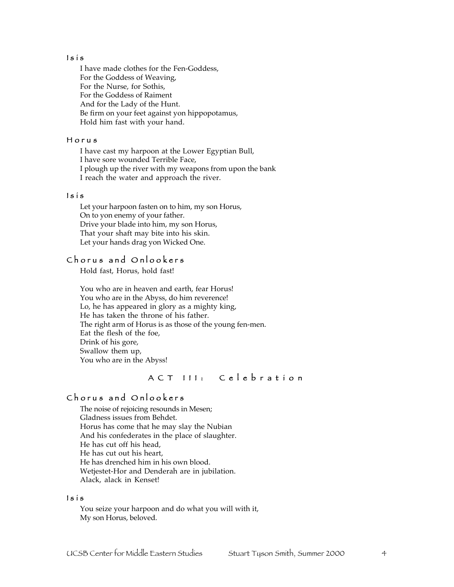#### $Is$ is

I have made clothes for the Fen-Goddess, For the Goddess of Weaving, For the Nurse, for Sothis, For the Goddess of Raiment And for the Lady of the Hunt. Be firm on your feet against yon hippopotamus, Hold him fast with your hand.

#### H o r u s

I have cast my harpoon at the Lower Egyptian Bull, I have sore wounded Terrible Face, I plough up the river with my weapons from upon the bank I reach the water and approach the river.

#### I s i s

Let your harpoon fasten on to him, my son Horus, On to yon enemy of your father. Drive your blade into him, my son Horus, That your shaft may bite into his skin. Let your hands drag yon Wicked One.

# Chorus and Onlookers

Hold fast, Horus, hold fast!

You who are in heaven and earth, fear Horus! You who are in the Abyss, do him reverence! Lo, he has appeared in glory as a mighty king, He has taken the throne of his father. The right arm of Horus is as those of the young fen-men. Eat the flesh of the foe, Drink of his gore, Swallow them up, You who are in the Abyss!

# A C T III: Celebration

# Chorus and Onlookers

The noise of rejoicing resounds in Mesen; Gladness issues from Behdet. Horus has come that he may slay the Nubian And his confederates in the place of slaughter. He has cut off his head, He has cut out his heart, He has drenched him in his own blood. Wetjestet-Hor and Denderah are in jubilation. Alack, alack in Kenset!

#### $Is$ is

You seize your harpoon and do what you will with it, My son Horus, beloved.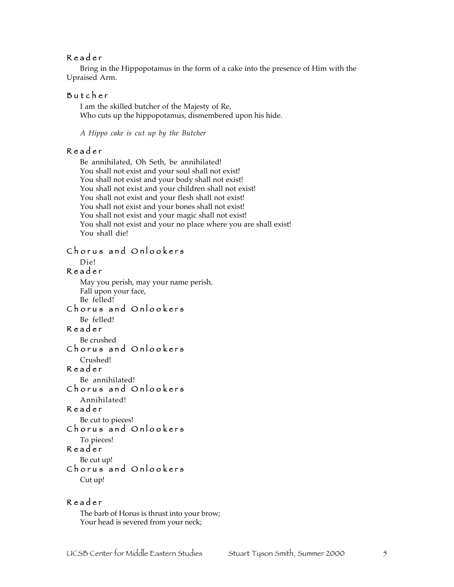## R e a d e r

Bring in the Hippopotamus in the form of a cake into the presence of Him with the Upraised Arm.

### B u t c h e r

I am the skilled butcher of the Majesty of Re, Who cuts up the hippopotamus, dismembered upon his hide.

*A Hippo cake is cut up by the Butcher*

#### R e a d e r

Be annihilated, Oh Seth, be annihilated! You shall not exist and your soul shall not exist! You shall not exist and your body shall not exist! You shall not exist and your children shall not exist! You shall not exist and your flesh shall not exist! You shall not exist and your bones shall not exist! You shall not exist and your magic shall not exist! You shall not exist and your no place where you are shall exist! You shall die!

### Chorus and Onlookers

Die!

### R e a d e r

May you perish, may your name perish. Fall upon your face, Be felled!

Chorus and Onlookers Be felled!

# R e a d e r

Be crushed Chorus and Onlookers

Crushed! R e a d e r

Be annihilated! Chorus and Onlookers

#### Annihilated!

R e a d e r

Be cut to pieces!

# Chorus and Onlookers

# To pieces!

R e a d<sup>e</sup> r

Be cut up!

# Chorus and Onlookers

Cut up!

## R e a d e r

The barb of Horus is thrust into your brow; Your head is severed from your neck;